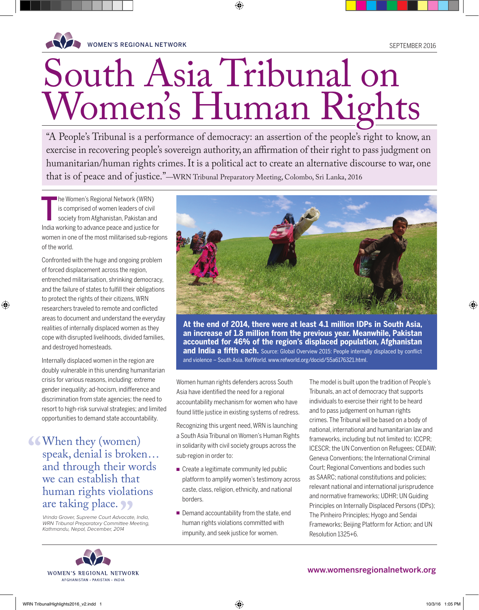

# South Asia Tribunal on Women's Human Rights

♠

"A People's Tribunal is a performance of democracy: an assertion of the people's right to know, an exercise in recovering people's sovereign authority, an affirmation of their right to pass judgment on humanitarian/human rights crimes. It is a political act to create an alternative discourse to war, one that is of peace and of justice."—WRN Tribunal Preparatory Meeting, Colombo, Sri Lanka, 2016

T he Women's Regional Network (WRN) is comprised of women leaders of civil society from Afghanistan, Pakistan and India working to advance peace and justice for women in one of the most militarised sub-regions of the world.

Confronted with the huge and ongoing problem of forced displacement across the region, entrenched militarisation, shrinking democracy, and the failure of states to fulfill their obligations to protect the rights of their citizens, WRN researchers traveled to remote and conflicted areas to document and understand the everyday realities of internally displaced women as they cope with disrupted livelihoods, divided families, and destroyed homesteads.

⊕

Internally displaced women in the region are doubly vulnerable in this unending humanitarian crisis for various reasons, including: extreme gender inequality; ad-hocism, indifference and discrimination from state agencies; the need to resort to high-risk survival strategies; and limited opportunities to demand state accountability.

When they (women) speak, denial is broken… and through their words we can establish that human rights violations are taking place.

Vrinda Grover, Supreme Court Advocate, India, WRN Tribunal Preparatory Committee Meeting, Kathmandu, Nepal, December, 2014



**At the end of 2014, there were at least 4.1 million IDPs in South Asia, an increase of 1.8 million from the previous year. Meanwhile, Pakistan accounted for 46% of the region's displaced population, Afghanistan and India a fifth each.** Source: Global Overview 2015: People internally displaced by conflict and violence – South Asia. RefWorld. www.refworld.org/docid/55a6176321.html.

Women human rights defenders across South Asia have identified the need for a regional accountability mechanism for women who have found little justice in existing systems of redress.

Recognizing this urgent need, WRN is launching a South Asia Tribunal on Women's Human Rights in solidarity with civil society groups across the sub-region in order to:

- $\blacksquare$  Create a legitimate community led public platform to amplify women's testimony across caste, class, religion, ethnicity, and national borders.
- Demand accountability from the state, end human rights violations committed with impunity, and seek justice for women.

The model is built upon the tradition of People's Tribunals, an act of democracy that supports individuals to exercise their right to be heard and to pass judgement on human rights crimes. The Tribunal will be based on a body of national, international and humanitarian law and frameworks, including but not limited to: ICCPR; ICESCR; the UN Convention on Refugees; CEDAW; Geneva Conventions; the International Criminal Court; Regional Conventions and bodies such as SAARC; national constitutions and policies; relevant national and international jurisprudence and normative frameworks; UDHR; UN Guiding Principles on Internally Displaced Persons (IDPs); The Pinheiro Principles; Hyogo and Sendai Frameworks; Beijing Platform for Action; and UN Resolution 1325+6.



## www.womensregionalnetwork.org

#### WRN TribunalHighlights2016\_v2.indd 1 105 PM 10/3/16 1:05 PM 10/3/16 1:05 PM 10/3/16 1:05 PM

♠